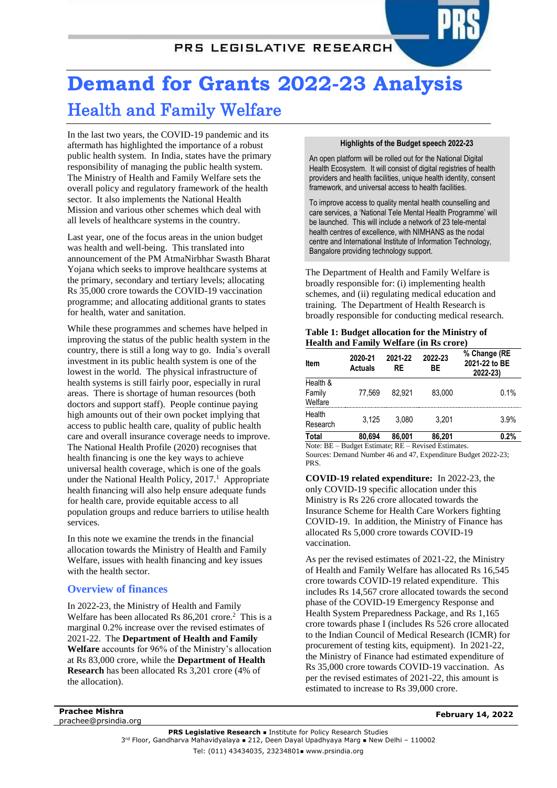# PRS LEGISLATIVE RESEARCH

# **Demand for Grants 2022-23 Analysis** Health and Family Welfare

In the last two years, the COVID-19 pandemic and its aftermath has highlighted the importance of a robust public health system. In India, states have the primary responsibility of managing the public health system. The Ministry of Health and Family Welfare sets the overall policy and regulatory framework of the health sector. It also implements the National Health Mission and various other schemes which deal with all levels of healthcare systems in the country.

Last year, one of the focus areas in the union budget was health and well-being. This translated into announcement of the PM AtmaNirbhar Swasth Bharat Yojana which seeks to improve healthcare systems at the primary, secondary and tertiary levels; allocating Rs 35,000 crore towards the COVID-19 vaccination programme; and allocating additional grants to states for health, water and sanitation.

While these programmes and schemes have helped in improving the status of the public health system in the country, there is still a long way to go. India's overall investment in its public health system is one of the lowest in the world. The physical infrastructure of health systems is still fairly poor, especially in rural areas. There is shortage of human resources (both doctors and support staff). People continue paying high amounts out of their own pocket implying that access to public health care, quality of public health care and overall insurance coverage needs to improve. The National Health Profile (2020) recognises that health financing is one the key ways to achieve universal health coverage, which is one of the goals under the National Health Policy,  $2017<sup>1</sup>$  Appropriate health financing will also help ensure adequate funds for health care, provide equitable access to all population groups and reduce barriers to utilise health services.

In this note we examine the trends in the financial allocation towards the Ministry of Health and Family Welfare, issues with health financing and key issues with the health sector.

# **Overview of finances**

In 2022-23, the Ministry of Health and Family Welfare has been allocated Rs 86,201 crore.<sup>2</sup> This is a marginal 0.2% increase over the revised estimates of 2021-22. The **Department of Health and Family Welfare** accounts for 96% of the Ministry's allocation at Rs 83,000 crore, while the **Department of Health Research** has been allocated Rs 3,201 crore (4% of the allocation).

#### **Highlights of the Budget speech 2022-23**

An open platform will be rolled out for the National Digital Health Ecosystem. It will consist of digital registries of health providers and health facilities, unique health identity, consent framework, and universal access to health facilities.

To improve access to quality mental health counselling and care services, a 'National Tele Mental Health Programme' will be launched. This will include a network of 23 tele-mental health centres of excellence, with NIMHANS as the nodal centre and International Institute of Information Technology, Bangalore providing technology support.

The Department of Health and Family Welfare is broadly responsible for: (i) implementing health schemes, and (ii) regulating medical education and training. The Department of Health Research is broadly responsible for conducting medical research.

#### **Table 1: Budget allocation for the Ministry of Health and Family Welfare (in Rs crore)**

| Item                          | 2020-21<br><b>Actuals</b> | 2021-22<br>RE | 2022-23<br>ВE | % Change (RE<br>2021-22 to BE<br>2022-23) |
|-------------------------------|---------------------------|---------------|---------------|-------------------------------------------|
| Health &<br>Family<br>Welfare | 77.569                    | 82.921        | 83.000        | 0.1%                                      |
| Health<br>Research            | 3.125                     | 3.080         | 3.201         | 3.9%                                      |
| Total                         | 80.694                    | 86,001        | 86.201        | 0.2%                                      |

Note: BE – Budget Estimate; RE – Revised Estimates. Sources: Demand Number 46 and 47, Expenditure Budget 2022-23; PRS.

<span id="page-0-0"></span>**COVID-19 related expenditure:** In 2022-23, the only COVID-19 specific allocation under this Ministry is Rs 226 crore allocated towards the Insurance Scheme for Health Care Workers fighting COVID-19. In addition, the Ministry of Finance has allocated Rs 5,000 crore towards COVID-19 vaccination.

As per the revised estimates of 2021-22, the Ministry of Health and Family Welfare has allocated Rs 16,545 crore towards COVID-19 related expenditure. This includes Rs 14,567 crore allocated towards the second phase of the COVID-19 Emergency Response and Health System Preparedness Package, and Rs 1,165 crore towards phase I (includes Rs 526 crore allocated to the Indian Council of Medical Research (ICMR) for procurement of testing kits, equipment). In 2021-22, the Ministry of Finance had estimated expenditure of Rs 35,000 crore towards COVID-19 vaccination. As per the revised estimates of 2021-22, this amount is estimated to increase to Rs 39,000 crore.

**Prachee Mishra** prachee@prsindia.org

**February 14, 2022**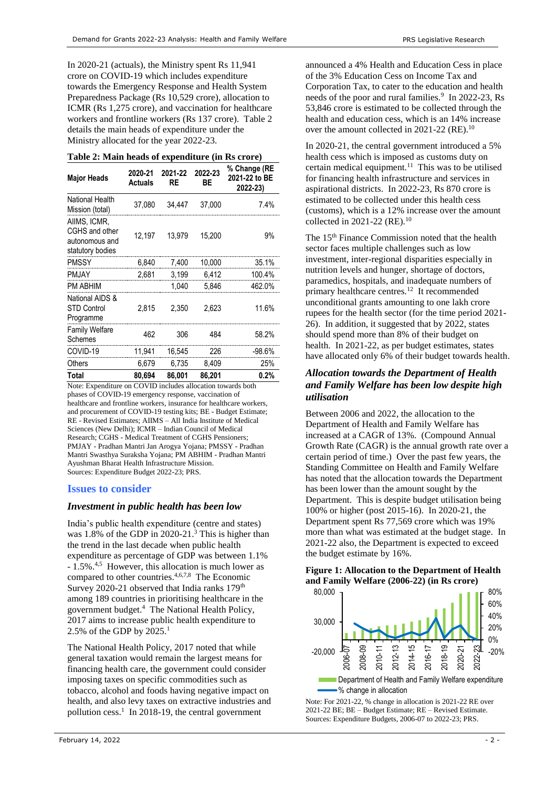In 2020-21 (actuals), the Ministry spent Rs 11,941 crore on COVID-19 which includes expenditure towards the Emergency Response and Health System Preparedness Package (Rs 10,529 crore), allocation to ICMR (Rs 1,275 crore), and vaccination for healthcare workers and frontline workers (Rs 137 crore). Table 2 details the main heads of expenditure under the Ministry allocated for the year 2022-23.

| Table 2: Main heads of expenditure (in Rs crore)                     |                           |                                |        |                                           |  |  |
|----------------------------------------------------------------------|---------------------------|--------------------------------|--------|-------------------------------------------|--|--|
| <b>Major Heads</b>                                                   | 2020-21<br><b>Actuals</b> | 2022-23<br>2021-22<br>ВE<br>RE |        | % Change (RE<br>2021-22 to BE<br>2022-23) |  |  |
| <b>National Health</b><br>Mission (total)                            | 37,080                    | 34,447                         | 37,000 | 7.4%                                      |  |  |
| AIIMS, ICMR,<br>CGHS and other<br>autonomous and<br>statutory bodies | 12,197                    | 13.979                         | 15,200 | 9%                                        |  |  |
| <b>PMSSY</b>                                                         | 6,840                     | 7,400                          | 10,000 | 35.1%                                     |  |  |
| PMJAY                                                                | 2,681                     | 3,199                          | 6,412  | 100.4%                                    |  |  |
| PM ARHIM                                                             |                           | 1,040                          | 5.846  | 462.0%                                    |  |  |
| National AIDS &<br><b>STD Control</b><br>Programme                   | 2,815                     | 2,350                          | 2,623  | 11.6%                                     |  |  |
| Family Welfare<br>Schemes                                            | 462                       | 306                            | 484    | 58.2%                                     |  |  |
| COVID-19                                                             | 11,941                    | 16,545                         | 226    | -98.6%                                    |  |  |
| Others                                                               | 6,679                     | 6,735                          | 8,409  | 25%                                       |  |  |
| Total                                                                | 80,694                    | 86,001                         | 86.201 | 0.2%                                      |  |  |

Note: Expenditure on COVID includes allocation towards both phases of COVID-19 emergency response, vaccination of healthcare and frontline workers, insurance for healthcare workers, and procurement of COVID-19 testing kits; BE - Budget Estimate; RE - Revised Estimates; AIIMS – All India Institute of Medical Sciences (New Delhi); ICMR – Indian Council of Medical Research; CGHS - Medical Treatment of CGHS Pensioners; PMJAY - Pradhan Mantri Jan Arogya Yojana; PMSSY - Pradhan Mantri Swasthya Suraksha Yojana; PM ABHIM - Pradhan Mantri Ayushman Bharat Health Infrastructure Mission. Sources: Expenditure Budget 2022-23; PRS.

#### **Issues to consider**

#### *Investment in public health has been low*

<span id="page-1-0"></span>India's public health expenditure (centre and states) was 1.8% of the GDP in 2020-21.<sup>3</sup> This is higher than the trend in the last decade when public health expenditure as percentage of GDP was between 1.1% - 1.5%. 4,5 However, this allocation is much lower as compared to other countries. [4,6](#page-1-0),7,8 The Economic Survey 2020-21 observed that India ranks 179<sup>th</sup> among 189 countries in prioritising healthcare in the government budget.[4](#page-1-0) The National Health Policy, 2017 aims to increase public health expenditure to 2.5%of the GDP by  $2025.<sup>1</sup>$ 

The National Health Policy, 2017 noted that while general taxation would remain the largest means for financing health care, the government could consider imposing taxes on specific commodities such as tobacco, alcohol and foods having negative impact on health, and also levy taxes on extractive industries and pollution cess.<sup>[1](#page-0-0)</sup> In 2018-19, the central government

announced a 4% Health and Education Cess in place of the 3% Education Cess on Income Tax and Corporation Tax, to cater to the education and health needs of the poor and rural families.<sup>9</sup> In 2022-23, Rs 53,846 crore is estimated to be collected through the health and education cess, which is an 14% increase over the amount collected in 2021-22 (RE).<sup>10</sup>

<span id="page-1-1"></span>In 2020-21, the central government introduced a 5% health cess which is imposed as customs duty on certain medical equipment.<sup>11</sup> This was to be utilised for financing health infrastructure and services in aspirational districts. In 2022-23, Rs 870 crore is estimated to be collected under this health cess (customs), which is a 12% increase over the amount collected in 2021-22 (RE).<sup>[10](#page-1-1)</sup>

<span id="page-1-2"></span>The 15<sup>th</sup> Finance Commission noted that the health sector faces multiple challenges such as low investment, inter-regional disparities especially in nutrition levels and hunger, shortage of doctors, paramedics, hospitals, and inadequate numbers of primary healthcare centres*.* <sup>12</sup> It recommended unconditional grants amounting to one lakh crore rupees for the health sector (for the time period 2021- 26). In addition, it suggested that by 2022, states should spend more than 8% of their budget on health. In 2021-22, as per budget estimates, states have allocated only 6% of their budget towards health.

#### *Allocation towards the Department of Health and Family Welfare has been low despite high utilisation*

Between 2006 and 2022, the allocation to the Department of Health and Family Welfare has increased at a CAGR of 13%. (Compound Annual Growth Rate (CAGR) is the annual growth rate over a certain period of time.) Over the past few years, the Standing Committee on Health and Family Welfare has noted that the allocation towards the Department has been lower than the amount sought by the Department. This is despite budget utilisation being 100% or higher (post 2015-16). In 2020-21, the Department spent Rs 77,569 crore which was 19% more than what was estimated at the budget stage. In 2021-22 also, the Department is expected to exceed the budget estimate by 16%.

#### <span id="page-1-3"></span>**Figure 1: Allocation to the Department of Health and Family Welfare (2006-22) (in Rs crore)**



Note: For 2021-22, % change in allocation is 2021-22 RE over 2021-22 BE; BE – Budget Estimate; RE – Revised Estimate. Sources: Expenditure Budgets, 2006-07 to 2022-23; PRS.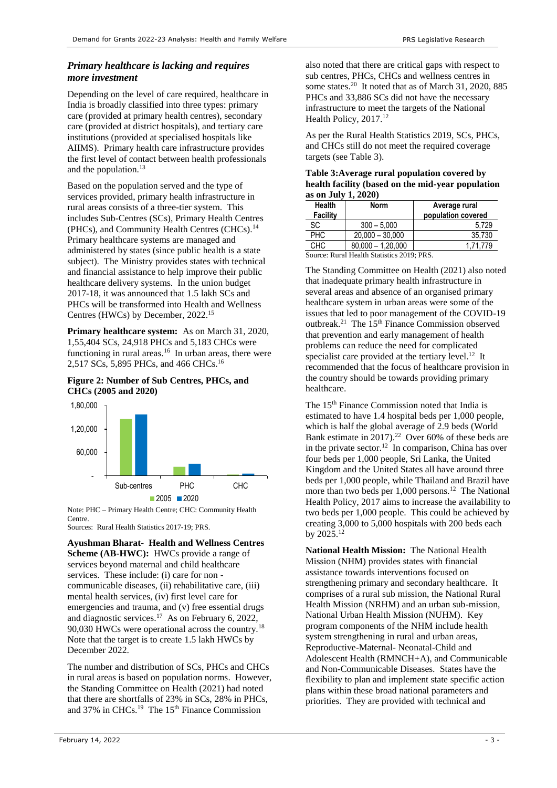#### *Primary healthcare is lacking and requires more investment*

Depending on the level of care required, healthcare in India is broadly classified into three types: primary care (provided at primary health centres), secondary care (provided at district hospitals), and tertiary care institutions (provided at specialised hospitals like AIIMS). Primary health care infrastructure provides the first level of contact between health professionals and the population.<sup>13</sup>

Based on the population served and the type of services provided, primary health infrastructure in rural areas consists of a three-tier system. This includes Sub-Centres (SCs), Primary Health Centres (PHCs), and Community Health Centres (CHCs).<sup>14</sup> Primary healthcare systems are managed and administered by states (since public health is a state subject). The Ministry provides states with technical and financial assistance to help improve their public healthcare delivery systems. In the union budget 2017-18, it was announced that 1.5 lakh SCs and PHCs will be transformed into Health and Wellness Centres (HWCs) by December, 2022.<sup>15</sup>

<span id="page-2-0"></span>**Primary healthcare system:** As on March 31, 2020, 1,55,404 SCs, 24,918 PHCs and 5,183 CHCs were functioning in rural areas.<sup>16</sup> In urban areas, there were 2,517 SCs, 5,895 PHCs, and 466 CHCs.[16](#page-2-0)

#### **Figure 2: Number of Sub Centres, PHCs, and CHCs (2005 and 2020)**



Note: PHC – Primary Health Centre; CHC: Community Health Centre.

Sources: Rural Health Statistics 2017-19; PRS.

**Ayushman Bharat- Health and Wellness Centres Scheme (AB-HWC):** HWCs provide a range of services beyond maternal and child healthcare services. These include: (i) care for non communicable diseases, (ii) rehabilitative care, (iii) mental health services, (iv) first level care for emergencies and trauma, and (v) free essential drugs and diagnostic services.<sup>17</sup> As on February 6, 2022, 90,030 HWCs were operational across the country.<sup>18</sup> Note that the target is to create 1.5 lakh HWCs by December 2022.

<span id="page-2-2"></span>The number and distribution of SCs, PHCs and CHCs in rural areas is based on population norms. However, the Standing Committee on Health (2021) had noted that there are shortfalls of 23% in SCs, 28% in PHCs, and 37% in CHCs.<sup>19</sup> The 15th Finance Commission

<span id="page-2-1"></span>also noted that there are critical gaps with respect to sub centres, PHCs, CHCs and wellness centres in some states.<sup>20</sup> It noted that as of March 31, 2020, 885 PHCs and 33,886 SCs did not have the necessary infrastructure to meet the targets of the National Health Policy, 2017.<sup>[12](#page-1-2)</sup>

As per the Rural Health Statistics 2019, SCs, PHCs, and CHCs still do not meet the required coverage targets (see Table 3).

| Table 3: Average rural population covered by      |
|---------------------------------------------------|
| health facility (based on the mid-vear population |
| as on July 1, 2020)                               |

| <b>Health</b><br><b>Facility</b> | <b>Norm</b>         | Average rural<br>population covered |
|----------------------------------|---------------------|-------------------------------------|
| SC                               | $300 - 5.000$       | 5.729                               |
| <b>PHC</b>                       | $20,000 - 30,000$   | 35,730                              |
| <b>CHC</b>                       | $80.000 - 1.20.000$ | 1.71.779                            |

Source: Rural Health Statistics 2019; PRS.

<span id="page-2-3"></span>The Standing Committee on Health (2021) also noted that inadequate primary health infrastructure in several areas and absence of an organised primary healthcare system in urban areas were some of the issues that led to poor management of the COVID-19 outbreak.<sup>21</sup> The 15<sup>th</sup> Finance Commission observed that prevention and early management of health problems can reduce the need for complicated specialist care provided at the tertiary level.<sup>[12](#page-1-2)</sup> It recommended that the focus of healthcare provision in the country should be towards providing primary healthcare.

The 15<sup>th</sup> Finance Commission noted that India is estimated to have 1.4 hospital beds per 1,000 people, which is half the global average of 2.9 beds (World Bank estimate in 2017). 22 Over 60% of these beds are in the private sector.<sup>[12](#page-1-2)</sup> In comparison, China has over four beds per 1,000 people, Sri Lanka, the United Kingdom and the United States all have around three beds per 1,000 people, while Thailand and Brazil have more than two beds per  $1,000$  persons.<sup>[12](#page-1-2)</sup> The National Health Policy, 2017 aims to increase the availability to two beds per 1,000 people. This could be achieved by creating 3,000 to 5,000 hospitals with 200 beds each by  $2025.^{12}$  $2025.^{12}$  $2025.^{12}$ 

**National Health Mission:** The National Health Mission (NHM) provides states with financial assistance towards interventions focused on strengthening primary and secondary healthcare. It comprises of a rural sub mission, the National Rural Health Mission (NRHM) and an urban sub-mission, National Urban Health Mission (NUHM). Key program components of the NHM include health system strengthening in rural and urban areas, Reproductive-Maternal- Neonatal-Child and Adolescent Health (RMNCH+A), and Communicable and Non-Communicable Diseases. States have the flexibility to plan and implement state specific action plans within these broad national parameters and priorities. They are provided with technical and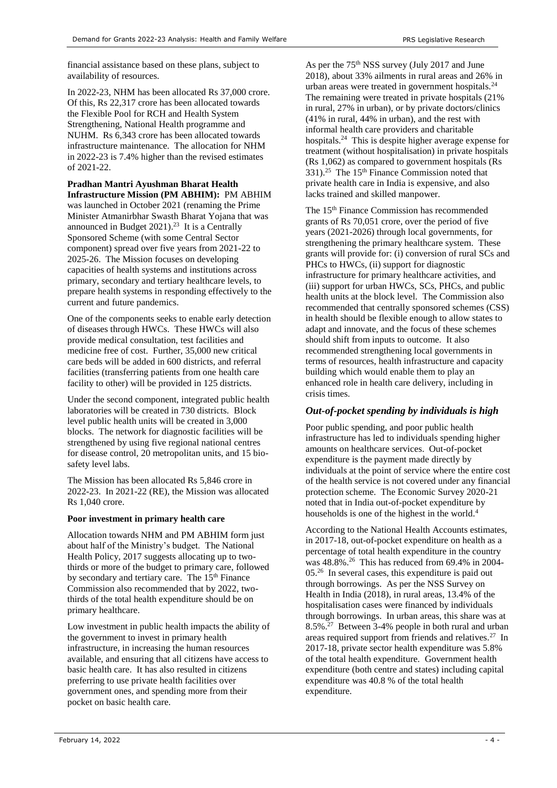financial assistance based on these plans, subject to availability of resources.

In 2022-23, NHM has been allocated Rs 37,000 crore. Of this, Rs 22,317 crore has been allocated towards the Flexible Pool for RCH and Health System Strengthening, National Health programme and NUHM. Rs 6,343 crore has been allocated towards infrastructure maintenance. The allocation for NHM in 2022-23 is 7.4% higher than the revised estimates of 2021-22.

**Pradhan Mantri Ayushman Bharat Health Infrastructure Mission (PM ABHIM):** PM ABHIM was launched in October 2021 (renaming the Prime Minister Atmanirbhar Swasth Bharat Yojana that was announced in Budget 2021). 23 It is a Centrally Sponsored Scheme (with some Central Sector component) spread over five years from 2021-22 to 2025-26. The Mission focuses on developing capacities of health systems and institutions across primary, secondary and tertiary healthcare levels, to prepare health systems in responding effectively to the current and future pandemics.

One of the components seeks to enable early detection of diseases through HWCs. These HWCs will also provide medical consultation, test facilities and medicine free of cost. Further, 35,000 new critical care beds will be added in 600 districts, and referral facilities (transferring patients from one health care facility to other) will be provided in 125 districts.

Under the second component, integrated public health laboratories will be created in 730 districts. Block level public health units will be created in 3,000 blocks. The network for diagnostic facilities will be strengthened by using five regional national centres for disease control, 20 metropolitan units, and 15 biosafety level labs.

The Mission has been allocated Rs 5,846 crore in 2022-23. In 2021-22 (RE), the Mission was allocated Rs 1,040 crore.

#### **Poor investment in primary health care**

Allocation towards NHM and PM ABHIM form just about half of the Ministry's budget. The National Health Policy, 2017 suggests allocating up to twothirds or more of the budget to primary care, followed by secondary and tertiary care. The 15<sup>th</sup> Finance Commission also recommended that by 2022, twothirds of the total health expenditure should be on primary healthcare.

Low investment in public health impacts the ability of the government to invest in primary health infrastructure, in increasing the human resources available, and ensuring that all citizens have access to basic health care. It has also resulted in citizens preferring to use private health facilities over government ones, and spending more from their pocket on basic health care.

<span id="page-3-0"></span>As per the 75<sup>th</sup> NSS survey (July 2017 and June 2018), about 33% ailments in rural areas and 26% in urban areas were treated in government hospitals.<sup>24</sup> The remaining were treated in private hospitals (21% in rural, 27% in urban), or by private doctors/clinics (41% in rural, 44% in urban), and the rest with informal health care providers and charitable hospitals. [24](#page-3-0) This is despite higher average expense for treatment (without hospitalisation) in private hospitals (Rs 1,062) as compared to government hospitals (Rs  $331$ ).<sup>25</sup> The 15<sup>th</sup> Finance Commission noted that private health care in India is expensive, and also lacks trained and skilled manpower.

The 15th Finance Commission has recommended grants of Rs 70,051 crore, over the period of five years (2021-2026) through local governments, for strengthening the primary healthcare system. These grants will provide for: (i) conversion of rural SCs and PHCs to HWCs, (ii) support for diagnostic infrastructure for primary healthcare activities, and (iii) support for urban HWCs, SCs, PHCs, and public health units at the block level. The Commission also recommended that centrally sponsored schemes (CSS) in health should be flexible enough to allow states to adapt and innovate, and the focus of these schemes should shift from inputs to outcome. It also recommended strengthening local governments in terms of resources, health infrastructure and capacity building which would enable them to play an enhanced role in health care delivery, including in crisis times.

#### *Out-of-pocket spending by individuals is high*

Poor public spending, and poor public health infrastructure has led to individuals spending higher amounts on healthcare services. Out-of-pocket expenditure is the payment made directly by individuals at the point of service where the entire cost of the health service is not covered under any financial protection scheme. The Economic Survey 2020-21 noted that in India out-of-pocket expenditure by households is one of the highest in the world.<sup>[4](#page-1-0)</sup>

<span id="page-3-2"></span><span id="page-3-1"></span>According to the National Health Accounts estimates, in 2017-18, out-of-pocket expenditure on health as a percentage of total health expenditure in the country was 48.8%.<sup>26</sup> This has reduced from 69.4% in 2004- 05. [26](#page-3-1) In several cases, this expenditure is paid out through borrowings. As per the NSS Survey on Health in India (2018), in rural areas, 13.4% of the hospitalisation cases were financed by individuals through borrowings. In urban areas, this share was at 8.5%. 27 Between 3-4% people in both rural and urban areas required support from friends and relatives.<sup>[27](#page-3-2)</sup> In 2017-18, private sector health expenditure was 5.8% of the total health expenditure. Government health expenditure (both centre and states) including capital expenditure was 40.8 % of the total health expenditure.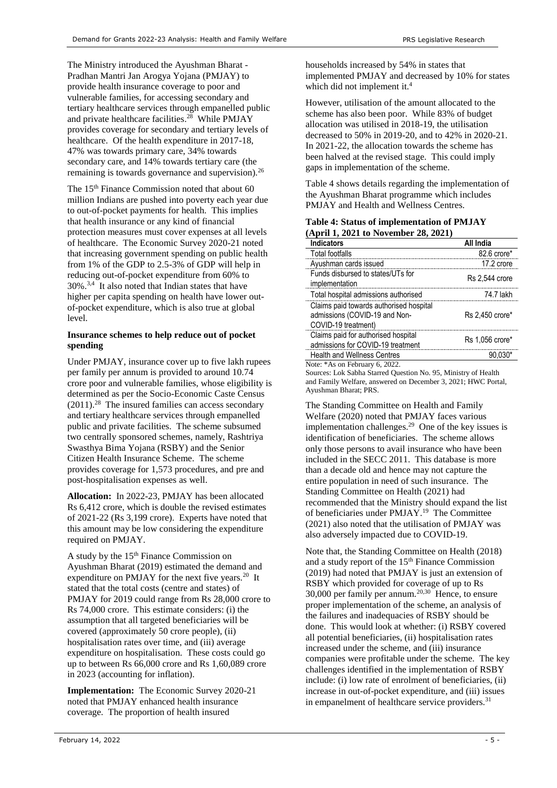The Ministry introduced the Ayushman Bharat - Pradhan Mantri Jan Arogya Yojana (PMJAY) to provide health insurance coverage to poor and vulnerable families, for accessing secondary and tertiary healthcare services through empanelled public and private healthcare facilities. 28 While PMJAY provides coverage for secondary and tertiary levels of healthcare. Of the health expenditure in 2017-18, 47% was towards primary care, 34% towards secondary care, and 14% towards tertiary care (the remaining is towards governance and supervision). $^{26}$  $^{26}$  $^{26}$ 

The 15<sup>th</sup> Finance Commission noted that about 60 million Indians are pushed into poverty each year due to out-of-pocket payments for health. This implies that health insurance or any kind of financial protection measures must cover expenses at all levels of healthcare. The Economic Survey 2020-21 noted that increasing government spending on public health from 1% of the GDP to 2.5-3% of GDP will help in reducing out-of-pocket expenditure from 60% to 30%.[3,](#page-1-3)[4](#page-1-0) It also noted that Indian states that have higher per capita spending on health have lower outof-pocket expenditure, which is also true at global level.

#### **Insurance schemes to help reduce out of pocket spending**

Under PMJAY, insurance cover up to five lakh rupees per family per annum is provided to around 10.74 crore poor and vulnerable families, whose eligibility is determined as per the Socio-Economic Caste Census (2011). [28](#page-4-0) The insured families can access secondary and tertiary healthcare services through empanelled public and private facilities. The scheme subsumed two centrally sponsored schemes, namely, Rashtriya Swasthya Bima Yojana (RSBY) and the Senior Citizen Health Insurance Scheme. The scheme provides coverage for 1,573 procedures, and pre and post-hospitalisation expenses as well.

**Allocation:** In 2022-23, PMJAY has been allocated Rs 6,412 crore, which is double the revised estimates of 2021-22 (Rs 3,199 crore). Experts have noted that this amount may be low considering the expenditure required on PMJAY.

A study by the  $15<sup>th</sup>$  Finance Commission on Ayushman Bharat (2019) estimated the demand and expenditure on PMJAY for the next five years. $20$  It stated that the total costs (centre and states) of PMJAY for 2019 could range from Rs 28,000 crore to Rs 74,000 crore. This estimate considers: (i) the assumption that all targeted beneficiaries will be covered (approximately 50 crore people), (ii) hospitalisation rates over time, and (iii) average expenditure on hospitalisation. These costs could go up to between Rs 66,000 crore and Rs 1,60,089 crore in 2023 (accounting for inflation).

**Implementation:** The Economic Survey 2020-21 noted that PMJAY enhanced health insurance coverage. The proportion of health insured

households increased by 54% in states that implemented PMJAY and decreased by 10% for states which did not implement it[.](#page-1-0)<sup>4</sup>

<span id="page-4-0"></span>However, utilisation of the amount allocated to the scheme has also been poor. While 83% of budget allocation was utilised in 2018-19, the utilisation decreased to 50% in 2019-20, and to 42% in 2020-21. In 2021-22, the allocation towards the scheme has been halved at the revised stage. This could imply gaps in implementation of the scheme.

[Table 4](#page-4-1) shows details regarding the implementation of the Ayushman Bharat programme which includes PMJAY and Health and Wellness Centres.

#### <span id="page-4-1"></span>**Table 4: Status of implementation of PMJAY (April 1, 2021 to November 28, 2021)**

| <b>Indicators</b>                                                                               | <b>All India</b>      |
|-------------------------------------------------------------------------------------------------|-----------------------|
| <b>Total footfalls</b>                                                                          | 82.6 crore*           |
| Ayushman cards issued                                                                           | 17.2 crore            |
| Funds disbursed to states/UTs for<br>implementation                                             | <b>Rs 2.544 crore</b> |
| Total hospital admissions authorised                                                            | 74.7 lakh             |
| Claims paid towards authorised hospital<br>admissions (COVID-19 and Non-<br>COVID-19 treatment) | Rs 2.450 crore*       |
| Claims paid for authorised hospital<br>admissions for COVID-19 treatment                        | Rs 1,056 crore*       |
| <b>Health and Wellness Centres</b>                                                              |                       |
| Note: *As on February 6, 2022.                                                                  |                       |

Sources: Lok Sabha Starred Question No. 95, Ministry of Health and Family Welfare, answered on December 3, 2021; HWC Portal, Ayushman Bharat; PRS.

The Standing Committee on Health and Family Welfare (2020) noted that PMJAY faces various implementation challenges.<sup>29</sup> One of the key issues is identification of beneficiaries. The scheme allows only those persons to avail insurance who have been included in the SECC 2011. This database is more than a decade old and hence may not capture the entire population in need of such insurance. The Standing Committee on Health (2021) had recommended that the Ministry should expand the list of beneficiaries under PMJAY.<sup>[19](#page-2-2)</sup> The Committee (2021) also noted that the utilisation of PMJAY was also adversely impacted due to COVID-19.

<span id="page-4-2"></span>Note that, the Standing Committee on Health (2018) and a study report of the  $15<sup>th</sup>$  Finance Commission (2019) had noted that PMJAY is just an extension of RSBY which provided for coverage of up to Rs  $30,000$  per family per annum.<sup>[20,3](#page-2-1)0</sup> Hence, to ensure proper implementation of the scheme, an analysis of the failures and inadequacies of RSBY should be done. This would look at whether: (i) RSBY covered all potential beneficiaries, (ii) hospitalisation rates increased under the scheme, and (iii) insurance companies were profitable under the scheme. The key challenges identified in the implementation of RSBY include: (i) low rate of enrolment of beneficiaries, (ii) increase in out-of-pocket expenditure, and (iii) issues in empanelment of healthcare service providers.<sup>31</sup>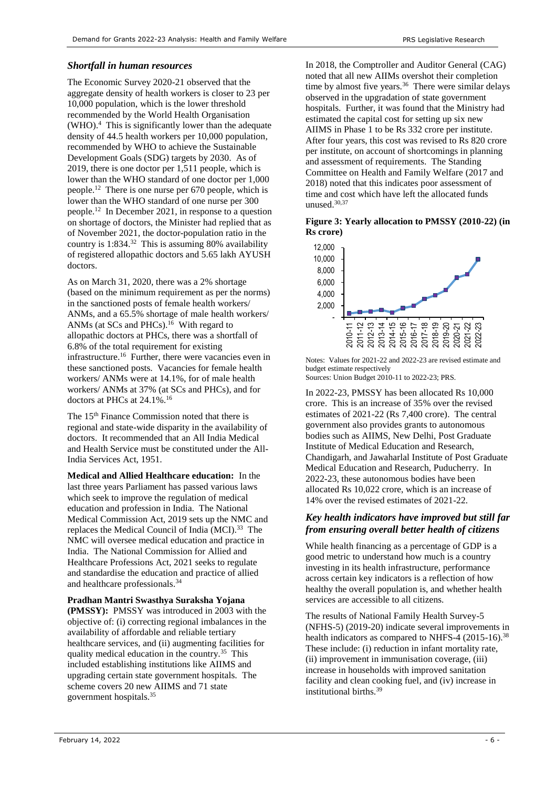#### *Shortfall in human resources*

The Economic Survey 2020-21 observed that the aggregate density of health workers is closer to 23 per 10,000 population, which is the lower threshold recommended by the World Health Organisation (WHO).[4](#page-1-0) This is significantly lower than the adequate density of 44.5 health workers per 10,000 population, recommended by WHO to achieve the Sustainable Development Goals (SDG) targets by 2030. As of 2019, there is one doctor per 1,511 people, which is lower than the WHO standard of one doctor per 1,000 people.[12](#page-1-2) There is one nurse per 670 people, which is lower than the WHO standard of one nurse per 300 people.[12](#page-1-2) In December 2021, in response to a question on shortage of doctors, the Minister had replied that as of November 2021, the doctor-population ratio in the country is 1:834. 32 This is assuming 80% availability of registered allopathic doctors and 5.65 lakh AYUSH doctors.

As on March 31, 2020, there was a 2% shortage (based on the minimum requirement as per the norms) in the sanctioned posts of female health workers/ ANMs, and a 65.5% shortage of male health workers/ ANMs (at SCs and PHCs).<sup>[16](#page-2-0)</sup> With regard to allopathic doctors at PHCs, there was a shortfall of 6.8% of the total requirement for existing infrastructure. [16](#page-2-0) Further, there were vacancies even in these sanctioned posts. Vacancies for female health workers/ ANMs were at 14.1%, for of male health workers/ ANMs at 37% (at SCs and PHCs), and for doctors at PHCs at 24.1%.[16](#page-2-0)

The 15th Finance Commission noted that there is regional and state-wide disparity in the availability of doctors. It recommended that an All India Medical and Health Service must be constituted under the All-India Services Act, 1951.

**Medical and Allied Healthcare education:** In the last three years Parliament has passed various laws which seek to improve the regulation of medical education and profession in India. The National Medical Commission Act, 2019 sets up the NMC and replaces the Medical Council of India (MCI).<sup>33</sup> The NMC will oversee medical education and practice in India. The National Commission for Allied and Healthcare Professions Act, 2021 seeks to regulate and standardise the education and practice of allied and healthcare professionals.<sup>34</sup>

**Pradhan Mantri Swasthya Suraksha Yojana (PMSSY):** PMSSY was introduced in 2003 with the objective of: (i) correcting regional imbalances in the availability of affordable and reliable tertiary healthcare services, and (ii) augmenting facilities for quality medical education in the country.<sup>35</sup> This included establishing institutions like AIIMS and upgrading certain state government hospitals. The scheme covers 20 new AIIMS and 71 state government hospitals.[35](#page-5-0)

In 2018, the Comptroller and Auditor General (CAG) noted that all new AIIMs overshot their completion time by almost five years. $36$  There were similar delays observed in the upgradation of state government hospitals. Further, it was found that the Ministry had estimated the capital cost for setting up six new AIIMS in Phase 1 to be Rs 332 crore per institute. After four years, this cost was revised to Rs 820 crore per institute, on account of shortcomings in planning and assessment of requirements. The Standing Committee on Health and Family Welfare (2017 and 2018) noted that this indicates poor assessment of time and cost which have left the allocated funds unused.[30,3](#page-4-2)7

**Figure 3: Yearly allocation to PMSSY (2010-22) (in Rs crore)**



Notes: Values for 2021-22 and 2022-23 are revised estimate and budget estimate respectively Sources: Union Budget 2010-11 to 2022-23; PRS.

In 2022-23, PMSSY has been allocated Rs 10,000 crore. This is an increase of 35% over the revised estimates of 2021-22 (Rs 7,400 crore). The central government also provides grants to autonomous bodies such as AIIMS, New Delhi, Post Graduate Institute of Medical Education and Research, Chandigarh, and Jawaharlal Institute of Post Graduate Medical Education and Research, Puducherry. In 2022-23, these autonomous bodies have been allocated Rs 10,022 crore, which is an increase of 14% over the revised estimates of 2021-22.

#### *Key health indicators have improved but still far from ensuring overall better health of citizens*

While health financing as a percentage of GDP is a good metric to understand how much is a country investing in its health infrastructure, performance across certain key indicators is a reflection of how healthy the overall population is, and whether health services are accessible to all citizens.

<span id="page-5-0"></span>The results of National Family Health Survey-5 (NFHS-5) (2019-20) indicate several improvements in health indicators as compared to NHFS-4 (2015-16).<sup>38</sup> These include: (i) reduction in infant mortality rate, (ii) improvement in immunisation coverage, (iii) increase in households with improved sanitation facility and clean cooking fuel, and (iv) increase in institutional births.[39](#page-6-0)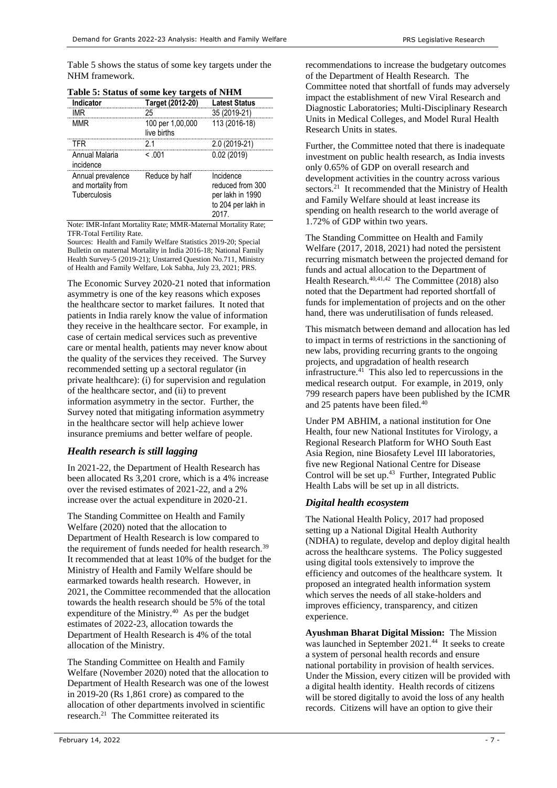[Table 5](#page-6-1) shows the status of some key targets under the NHM framework.

| Indicator                                               | Target (2012-20)                | <b>Latest Status</b>                                                            |
|---------------------------------------------------------|---------------------------------|---------------------------------------------------------------------------------|
| IMR                                                     | 25                              | 35 (2019-21)                                                                    |
| MMR                                                     | 100 per 1,00,000<br>live births | 113 (2016-18)                                                                   |
| TFR                                                     | 21                              | 2.0 (2019-21)                                                                   |
| Annual Malaria<br>incidence                             | < 001                           | 0.02(2019)                                                                      |
| Annual prevalence<br>and mortality from<br>Tuberculosis | Reduce by half                  | Incidence<br>reduced from 300<br>per lakh in 1990<br>to 204 per lakh in<br>2017 |

<span id="page-6-1"></span>

|  |  |  | Table 5: Status of some key targets of NHM |  |  |
|--|--|--|--------------------------------------------|--|--|
|  |  |  |                                            |  |  |

Note: IMR-Infant Mortality Rate; MMR-Maternal Mortality Rate; TFR-Total Fertility Rate.

Sources: Health and Family Welfare Statistics 2019-20; Special Bulletin on maternal Mortality in India 2016-18; National Family Health Survey-5 (2019-21); Unstarred Question No.711, Ministry of Health and Family Welfare, Lok Sabha, July 23, 2021; PRS.

The Economic Survey 2020-21 noted that information asymmetry is one of the key reasons which exposes the healthcare sector to market failures. It noted that patients in India rarely know the value of information they receive in the healthcare sector. For example, in case of certain medical services such as preventive care or mental health, patients may never know about the quality of the services they received. The Survey recommended setting up a sectoral regulator (in private healthcare): (i) for supervision and regulation of the healthcare sector, and (ii) to prevent information asymmetry in the sector. Further, the Survey noted that mitigating information asymmetry in the healthcare sector will help achieve lower insurance premiums and better welfare of people.

#### *Health research is still lagging*

In 2021-22, the Department of Health Research has been allocated Rs 3,201 crore, which is a 4% increase over the revised estimates of 2021-22, and a 2% increase over the actual expenditure in 2020-21.

The Standing Committee on Health and Family Welfare (2020) noted that the allocation to Department of Health Research is low compared to the requirement of funds needed for health research.<sup>39</sup> It recommended that at least 10% of the budget for the Ministry of Health and Family Welfare should be earmarked towards health research. However, in 2021, the Committee recommended that the allocation towards the health research should be 5% of the total expenditure of the Ministry.<sup>40</sup> As per the budget estimates of 2022-23, allocation towards the Department of Health Research is 4% of the total allocation of the Ministry.

<span id="page-6-2"></span>The Standing Committee on Health and Family Welfare (November 2020) noted that the allocation to Department of Health Research was one of the lowest in 2019-20 (Rs 1,861 crore) as compared to the allocation of other departments involved in scientific research. [21](#page-2-3) The Committee reiterated its

recommendations to increase the budgetary outcomes of the Department of Health Research. The Committee noted that shortfall of funds may adversely impact the establishment of new Viral Research and Diagnostic Laboratories; Multi-Disciplinary Research Units in Medical Colleges, and Model Rural Health Research Units in states.

Further, the Committee noted that there is inadequate investment on public health research, as India invests only 0.65% of GDP on overall research and development activities in the country across various sectors.<sup>[21](#page-2-3)</sup> It recommended that the Ministry of Health and Family Welfare should at least increase its spending on health research to the world average of 1.72% of GDP within two years.

<span id="page-6-3"></span>The Standing Committee on Health and Family Welfare (2017, 2018, 2021) had noted the persistent recurring mismatch between the projected demand for funds and actual allocation to the Department of Health Research.<sup>[40,4](#page-6-2)1,42</sup> The Committee (2018) also noted that the Department had reported shortfall of funds for implementation of projects and on the other hand, there was underutilisation of funds released.

This mismatch between demand and allocation has led to impact in terms of restrictions in the sanctioning of new labs, providing recurring grants to the ongoing projects, and upgradation of health research infrastructure.[41](#page-6-3) This also led to repercussions in the medical research output. For example, in 2019, only 799 research papers have been published by the ICMR and 25 patents have been filed. $40$ 

Under PM ABHIM, a national institution for One Health, four new National Institutes for Virology, a Regional Research Platform for WHO South East Asia Region, nine Biosafety Level III laboratories, five new Regional National Centre for Disease Control will be set up. $43$  Further, Integrated Public Health Labs will be set up in all districts.

#### *Digital health ecosystem*

<span id="page-6-0"></span>The National Health Policy, 2017 had proposed setting up a National Digital Health Authority (NDHA) to regulate, develop and deploy digital health across the healthcare systems. The Policy suggested using digital tools extensively to improve the efficiency and outcomes of the healthcare system. It proposed an integrated health information system which serves the needs of all stake-holders and improves efficiency, transparency, and citizen experience.

**Ayushman Bharat Digital Mission:** The Mission was launched in September 2021.<sup>44</sup> It seeks to create a system of personal health records and ensure national portability in provision of health services. Under the Mission, every citizen will be provided with a digital health identity. Health records of citizens will be stored digitally to avoid the loss of any health records. Citizens will have an option to give their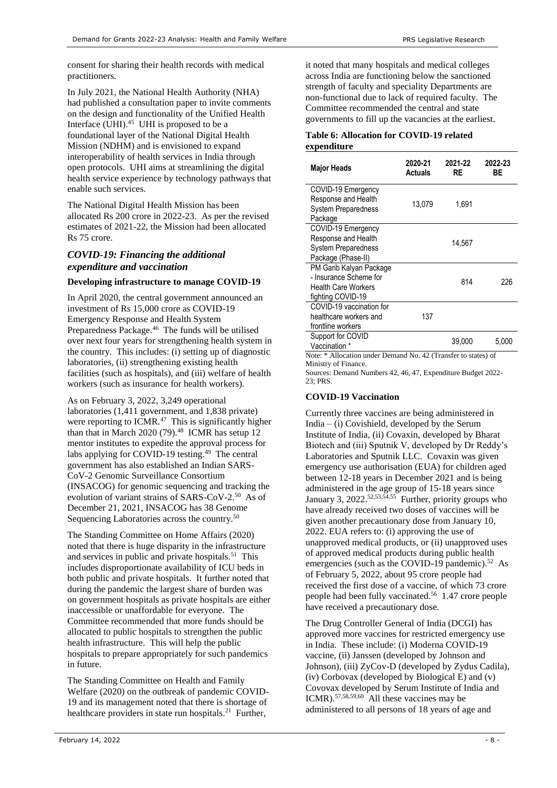consent for sharing their health records with medical practitioners.

In July 2021, the National Health Authority (NHA) had published a consultation paper to invite comments on the design and functionality of the Unified Health Interface (UHI).<sup>45</sup> UHI is proposed to be a foundational layer of the National Digital Health Mission (NDHM) and is envisioned to expand interoperability of health services in India through open protocols. UHI aims at streamlining the digital health service experience by technology pathways that enable such services.

The National Digital Health Mission has been allocated Rs 200 crore in 2022-23. As per the revised estimates of 2021-22, the Mission had been allocated Rs 75 crore.

### *COVID-19: Financing the additional expenditure and vaccination*

#### **Developing infrastructure to manage COVID-19**

In April 2020, the central government announced an investment of Rs 15,000 crore as COVID-19 Emergency Response and Health System Preparedness Package.<sup>46</sup> The funds will be utilised over next four years for strengthening health system in the country. This includes: (i) setting up of diagnostic laboratories, (ii) strengthening existing health facilities (such as hospitals), and (iii) welfare of health workers (such as insurance for health workers).

As on February 3, 2022, 3,249 operational laboratories (1,411 government, and 1,838 private) were reporting to ICMR.<sup>47</sup> This is significantly higher than that in March  $2020(79).<sup>48</sup>$  ICMR has setup 12 mentor institutes to expedite the approval process for labs applying for COVID-19 testing. $49$  The central government has also established an Indian SARS-CoV-2 Genomic Surveillance Consortium (INSACOG) for genomic sequencing and tracking the evolution of variant strains of SARS-CoV-2.<sup>50</sup> As of December 21, 2021, INSACOG has 38 Genome Sequencing Laboratories across the country.<sup>[50](#page-7-0)</sup>

The Standing Committee on Home Affairs (2020) noted that there is huge disparity in the infrastructure and services in public and private hospitals.<sup>51</sup> This includes disproportionate availability of ICU beds in both public and private hospitals. It further noted that during the pandemic the largest share of burden was on government hospitals as private hospitals are either inaccessible or unaffordable for everyone. The Committee recommended that more funds should be allocated to public hospitals to strengthen the public health infrastructure. This will help the public hospitals to prepare appropriately for such pandemics in future.

The Standing Committee on Health and Family Welfare (2020) on the outbreak of pandemic COVID-19 and its management noted that there is shortage of healthcare providers in state run hospitals.<sup>[21](#page-2-3)</sup> Further,

it noted that many hospitals and medical colleges across India are functioning below the sanctioned strength of faculty and speciality Departments are non-functional due to lack of required faculty. The Committee recommended the central and state governments to fill up the vacancies at the earliest.

#### **Table 6: Allocation for COVID-19 related expenditure**

| <b>Major Heads</b>                                                                                   | 2020-21<br><b>Actuals</b> | 2021-22<br>RE | 2022-23<br>ВE |  |
|------------------------------------------------------------------------------------------------------|---------------------------|---------------|---------------|--|
| COVID-19 Emergency<br>Response and Health<br><b>System Preparedness</b><br>Package                   | 13,079                    | 1,691         |               |  |
| COVID-19 Emergency<br>Response and Health<br><b>System Preparedness</b><br>Package (Phase-II)        |                           | 14,567        |               |  |
| PM Garib Kalyan Package<br>- Insurance Scheme for<br><b>Health Care Workers</b><br>fighting COVID-19 |                           | 814           | 226           |  |
| COVID-19 vaccination for<br>healthcare workers and<br>frontline workers                              | 137                       |               |               |  |
| Support for COVID<br>Vaccination *<br>Note: * Allocation under Demand No. 42 (Transfer to states) of |                           | 39,000        | 5,000         |  |

Ministry of Finance.

Sources: Demand Numbers 42, 46, 47, Expenditure Budget 2022-  $23 \cdot PRS$ 

#### **COVID-19 Vaccination**

<span id="page-7-1"></span><span id="page-7-0"></span>Currently three vaccines are being administered in India –  $(i)$  Covishield, developed by the Serum Institute of India, (ii) Covaxin, developed by Bharat Biotech and (iii) Sputnik V, developed by Dr Reddy's Laboratories and Sputnik LLC. Covaxin was given emergency use authorisation (EUA) for children aged between 12-18 years in December 2021 and is being administered in the age group of 15-18 years since January 3, 2022.<sup>52,53,54,55</sup> Further, priority groups who have already received two doses of vaccines will be given another precautionary dose from January 10, 2022. EUA refers to: (i) approving the use of unapproved medical products, or (ii) unapproved uses of approved medical products during public health emergencies (such as the COVID-19 pandemic).<sup>[52](#page-7-1)</sup> As of February 5, 2022, about 95 crore people had received the first dose of a vaccine, of which 73 crore people had been fully vaccinated.<sup>56</sup> 1.47 crore people have received a precautionary dose.

<span id="page-7-2"></span>The Drug Controller General of India (DCGI) has approved more vaccines for restricted emergency use in India. These include: (i) Moderna COVID-19 vaccine, (ii) Janssen (developed by Johnson and Johnson), (iii) ZyCov-D (developed by Zydus Cadila), (iv) Corbovax (developed by Biological E) and (v) Covovax developed by Serum Institute of India and ICMR).57,58,59,60 All these vaccines may be administered to all persons of 18 years of age and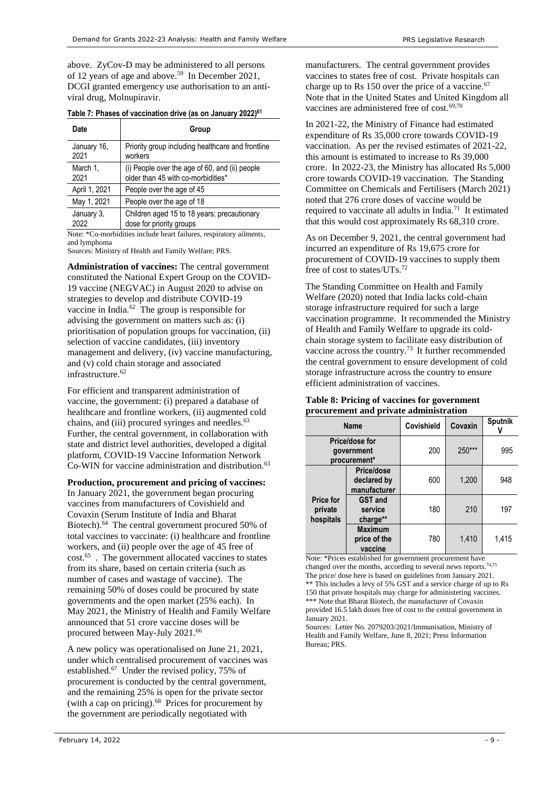above. ZyCov-D may be administered to all persons of 12 years of age and above.<sup>[59](#page-7-2)</sup> In December 2021, DCGI granted emergency use authorisation to an antiviral drug, Molnupiravir.

| Table 7: Phases of vaccination drive (as on January 2022) <sup>61</sup> |  |
|-------------------------------------------------------------------------|--|
|-------------------------------------------------------------------------|--|

| Date          | Group                                             |
|---------------|---------------------------------------------------|
| January 16,   | Priority group including healthcare and frontline |
| 2021          | workers                                           |
| March 1,      | (i) People over the age of 60, and (ii) people    |
| 2021          | older than 45 with co-morbidities*                |
| April 1, 2021 | People over the age of 45                         |
| May 1, 2021   | People over the age of 18                         |
| January 3.    | Children aged 15 to 18 years; precautionary       |
| 2022          | dose for priority groups                          |

Note: \*Co-morbidities include heart failures, respiratory ailments, and lymphoma

Sources: Ministry of Health and Family Welfare; PRS.

<span id="page-8-0"></span>**Administration of vaccines:** The central government constituted the National Expert Group on the COVID-19 vaccine (NEGVAC) in August 2020 to advise on strategies to develop and distribute COVID-19 vaccine in India.<sup>62</sup> The group is responsible for advising the government on matters such as: (i) prioritisation of population groups for vaccination, (ii) selection of vaccine candidates, (iii) inventory management and delivery, (iv) vaccine manufacturing, and (v) cold chain storage and associated infrastructure.<sup>[62](#page-8-0)</sup>

For efficient and transparent administration of vaccine, the government: (i) prepared a database of healthcare and frontline workers, (ii) augmented cold chains, and (iii) procured syringes and needles.<sup>63</sup> Further, the central government, in collaboration with state and district level authorities, developed a digital platform, COVID-19 Vaccine Information Network Co-WIN for vaccine administration and distribution.<sup>[63](#page-8-1)</sup>

**Production, procurement and pricing of vaccines:** 

In January 2021, the government began procuring vaccines from manufacturers of Covishield and Covaxin (Serum Institute of India and Bharat Biotech). 64 The central government procured 50% of total vaccines to vaccinate: (i) healthcare and frontline workers, and (ii) people over the age of 45 free of cost.<sup>65</sup>. The government allocated vaccines to states from its share, based on certain criteria (such as number of cases and wastage of vaccine). The remaining 50% of doses could be procured by state governments and the open market (25% each). In May 2021, the Ministry of Health and Family Welfare announced that 51 crore vaccine doses will be procured between May-July 2021.<sup>66</sup>

<span id="page-8-2"></span>A new policy was operationalised on June 21, 2021, under which centralised procurement of vaccines was established.<sup>67</sup> Under the revised policy, 75% of procurement is conducted by the central government, and the remaining 25% is open for the private sector (with a cap on pricing). 68 Prices for procurement by the government are periodically negotiated with

manufacturers. The central government provides vaccines to states free of cost. Private hospitals can charge up to Rs 150 over the price of a vaccine. $67$ Note that in the United States and United Kingdom all vaccines are administered free of  $cost.^{69,70}$ 

In 2021-22, the Ministry of Finance had estimated expenditure of Rs 35,000 crore towards COVID-19 vaccination. As per the revised estimates of 2021-22, this amount is estimated to increase to Rs 39,000 crore. In 2022-23, the Ministry has allocated Rs 5,000 crore towards COVID-19 vaccination. The Standing Committee on Chemicals and Fertilisers (March 2021) noted that 276 crore doses of vaccine would be required to vaccinate all adults in India.<sup>71</sup> It estimated that this would cost approximately Rs 68,310 crore.

As on December 9, 2021, the central government had incurred an expenditure of Rs 19,675 crore for procurement of COVID-19 vaccines to supply them free of cost to states/UTs.<sup>72</sup>

The Standing Committee on Health and Family Welfare (2020) noted that India lacks cold-chain storage infrastructure required for such a large vaccination programme. It recommended the Ministry of Health and Family Welfare to upgrade its coldchain storage system to facilitate easy distribution of vaccine across the country.<sup>73</sup> It further recommended the central government to ensure development of cold storage infrastructure across the country to ensure efficient administration of vaccines.

#### **Table 8: Pricing of vaccines for government procurement and private administration**

<span id="page-8-1"></span>

| <b>Name</b>                                  |                                           | <b>Covishield</b> | Covaxin | Sputnik |
|----------------------------------------------|-------------------------------------------|-------------------|---------|---------|
| Price/dose for<br>government<br>procurement* |                                           | 200               | 250***  | 995     |
| <b>Price for</b><br>private<br>hospitals     | Price/dose<br>declared by<br>manufacturer | 600               | 1,200   | 948     |
|                                              | <b>GST and</b><br>service<br>charge**     | 180               | 210     | 197     |
|                                              | <b>Maximum</b><br>price of the<br>vaccine | 780               | 1,410   | 1,415   |

Note: \*Prices established for government procurement have changed over the months, according to several news reports.<sup>74,75</sup> The price/ dose here is based on guidelines from January 2021.  $**$  This includes a levy of 5% GST and a service charge of up to Rs 150 that private hospitals may charge for administering vaccines. \*\*\* Note that Bharat Biotech, the manufacturer of Covaxin provided 16.5 lakh doses free of cost to the central government in January 2021.

Sources: Letter No. 2079203/2021/Immunisation, Ministry of Health and Family Welfare, June 8, 2021; Press Information Bureau; PRS.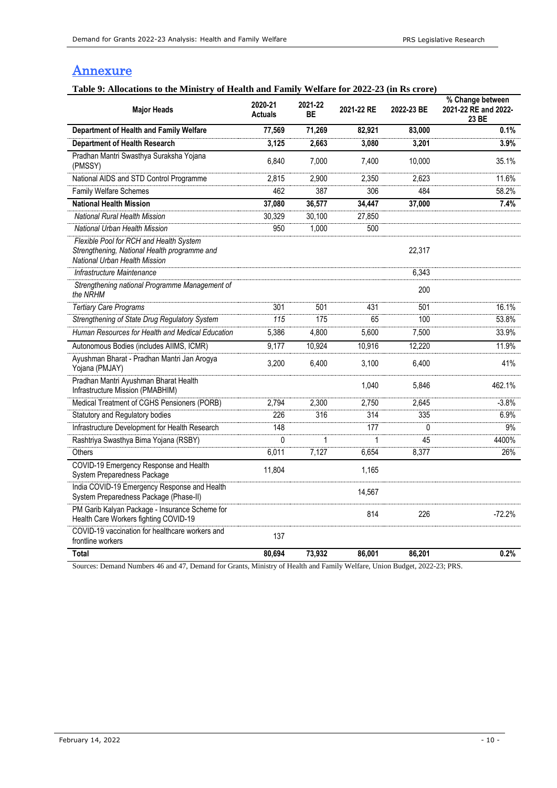# **Annexure**

# **Table 9: Allocations to the Ministry of Health and Family Welfare for 2022-23 (in Rs crore)**

| <b>Major Heads</b>                                                                                                       | 2020-21<br><b>Actuals</b> | 2021-22<br>ВE | 2021-22 RE | 2022-23 BE | % Change between<br>2021-22 RE and 2022-<br>23 BE |
|--------------------------------------------------------------------------------------------------------------------------|---------------------------|---------------|------------|------------|---------------------------------------------------|
| Department of Health and Family Welfare                                                                                  | 77,569                    | 71,269        | 82,921     | 83,000     | 0.1%                                              |
| <b>Department of Health Research</b>                                                                                     | 3,125                     | 2,663         | 3,080      | 3,201      | 3.9%                                              |
| Pradhan Mantri Swasthya Suraksha Yojana<br>(PMSSY)                                                                       | 6,840                     | 7,000         | 7,400      | 10,000     | 35.1%                                             |
| National AIDS and STD Control Programme                                                                                  | 2,815                     | 2,900         | 2.350      | 2.623      | 11.6%                                             |
| <b>Family Welfare Schemes</b>                                                                                            | 462                       | 387           | 306        | 484        | 58.2%                                             |
| <b>National Health Mission</b>                                                                                           | 37,080                    | 36,577        | 34,447     | 37,000     | 7.4%                                              |
| National Rural Health Mission                                                                                            | 30,329                    | 30,100        | 27,850     |            |                                                   |
| National Urban Health Mission                                                                                            | 950                       | 1,000         | 500        |            |                                                   |
| Flexible Pool for RCH and Health System<br>Strengthening, National Health programme and<br>National Urban Health Mission |                           |               |            | 22,317     |                                                   |
| Infrastructure Maintenance                                                                                               |                           |               |            | 6,343      |                                                   |
| Strengthening national Programme Management of<br>the NRHM                                                               |                           |               |            | 200        |                                                   |
| <b>Tertiary Care Programs</b>                                                                                            | 301                       | 501           | 431        | 501        | 16.1%                                             |
| Strengthening of State Drug Regulatory System                                                                            | 115                       | 175           | 65         | 100        | 53.8%                                             |
| Human Resources for Health and Medical Education                                                                         | 5,386                     | 4,800         | 5,600      | 7,500      | 33.9%                                             |
| Autonomous Bodies (includes AIIMS, ICMR)                                                                                 | 9,177                     | 10,924        | 10,916     | 12,220     | 11.9%                                             |
| Ayushman Bharat - Pradhan Mantri Jan Arogya<br>Yojana (PMJAY)                                                            | 3,200                     | 6,400         | 3,100      | 6,400      | 41%                                               |
| Pradhan Mantri Ayushman Bharat Health<br>Infrastructure Mission (PMABHIM)                                                |                           |               | 1,040      | 5,846      | 462.1%                                            |
| Medical Treatment of CGHS Pensioners (PORB)                                                                              | 2,794                     | 2,300         | 2,750      | 2,645      | $-3.8%$                                           |
| Statutory and Regulatory bodies                                                                                          | 226                       | 316           | 314        | 335        | 6.9%                                              |
| Infrastructure Development for Health Research                                                                           | 148                       |               | 177        | 0          | 9%                                                |
| Rashtriya Swasthya Bima Yojana (RSBY)                                                                                    | $\Omega$                  | $\mathbf{1}$  | 1          | 45         | 4400%                                             |
| Others                                                                                                                   | 6,011                     | 7,127         | 6,654      | 8,377      | 26%                                               |
| COVID-19 Emergency Response and Health<br>System Preparedness Package                                                    | 11,804                    |               | 1,165      |            |                                                   |
| India COVID-19 Emergency Response and Health<br>System Preparedness Package (Phase-II)                                   |                           |               | 14,567     |            |                                                   |
| PM Garib Kalyan Package - Insurance Scheme for<br>Health Care Workers fighting COVID-19                                  |                           |               | 814        | 226        | $-72.2%$                                          |
| COVID-19 vaccination for healthcare workers and<br>frontline workers                                                     | 137                       |               |            |            |                                                   |
| Total                                                                                                                    | 80,694                    | 73,932        | 86,001     | 86,201     | 0.2%                                              |

Sources: Demand Numbers 46 and 47, Demand for Grants, Ministry of Health and Family Welfare, Union Budget, 2022-23; PRS.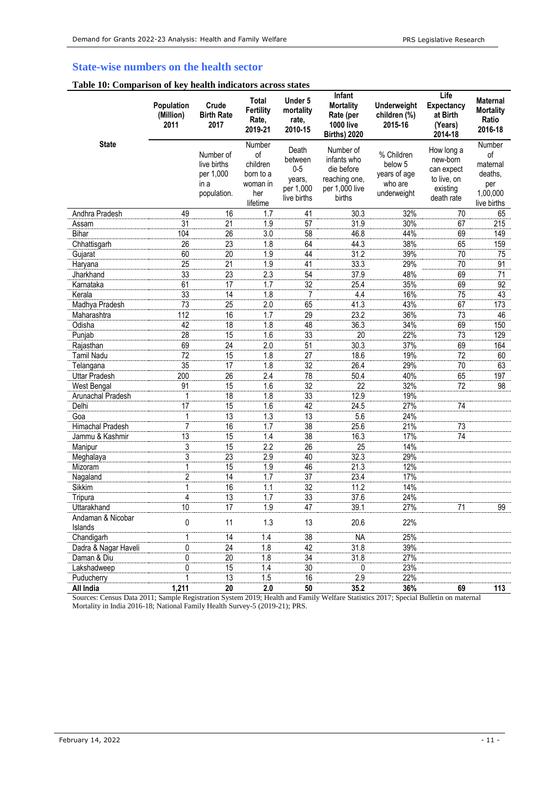# **State-wise numbers on the health sector**

#### **Table 10: Comparison of key health indicators across states**

|                              | <b>Population</b><br>(Million)<br>2011 | Crude<br><b>Birth Rate</b><br>2017                           | <b>Total</b><br><b>Fertility</b><br>Rate,<br>2019-21                 | Under 5<br>mortality<br>rate,<br>2010-15                        | <b>Infant</b><br><b>Mortality</b><br>Rate (per<br><b>1000 live</b><br><b>Births) 2020</b> | Underweight<br>children (%)<br>2015-16                          | Life<br><b>Expectancy</b><br>at Birth<br>(Years)<br>2014-18                   | <b>Maternal</b><br><b>Mortality</b><br>Ratio<br>2016-18               |
|------------------------------|----------------------------------------|--------------------------------------------------------------|----------------------------------------------------------------------|-----------------------------------------------------------------|-------------------------------------------------------------------------------------------|-----------------------------------------------------------------|-------------------------------------------------------------------------------|-----------------------------------------------------------------------|
| <b>State</b>                 |                                        | Number of<br>live births<br>per 1,000<br>in a<br>population. | Number<br>of<br>children<br>born to a<br>woman in<br>her<br>lifetime | Death<br>between<br>$0-5$<br>years,<br>per 1,000<br>live births | Number of<br>infants who<br>die before<br>reaching one,<br>per 1.000 live<br>births       | % Children<br>below 5<br>years of age<br>who are<br>underweight | How long a<br>new-born<br>can expect<br>to live, on<br>existing<br>death rate | Number<br>of<br>maternal<br>deaths,<br>per<br>1,00,000<br>live births |
| Andhra Pradesh               | 49                                     | 16                                                           | 1.7                                                                  | 41                                                              | 30.3                                                                                      | 32%                                                             | 70                                                                            | 65                                                                    |
| Assam                        | 31                                     | 21                                                           | 1.9                                                                  | 57                                                              | 31.9                                                                                      | 30%                                                             | 67                                                                            | 215                                                                   |
| Bihar                        | 104                                    | 26                                                           | 3.0                                                                  | 58                                                              | 46.8                                                                                      | 44%                                                             | 69                                                                            | 149                                                                   |
| Chhattisgarh                 | 26                                     | 23                                                           | 1.8                                                                  | 64                                                              | 44.3                                                                                      | 38%                                                             | 65                                                                            | 159                                                                   |
| Gujarat                      | 60                                     | 20                                                           | 1.9                                                                  | 44                                                              | 31.2                                                                                      | 39%                                                             | 70                                                                            | 75                                                                    |
| Haryana                      | 25                                     | 21                                                           | 1.9                                                                  | 41                                                              | 33.3                                                                                      | 29%                                                             | 70                                                                            | 91                                                                    |
| Jharkhand                    | 33                                     | 23                                                           | 2.3                                                                  | 54                                                              | 37.9                                                                                      | 48%                                                             | 69                                                                            | 71                                                                    |
| Karnataka                    | 61                                     | 17                                                           | 1.7                                                                  | 32                                                              | 25.4                                                                                      | 35%                                                             | 69                                                                            | 92                                                                    |
| Kerala                       | $\overline{33}$                        | 14                                                           | 1.8                                                                  | 7                                                               | 4.4                                                                                       | 16%                                                             | 75                                                                            | 43                                                                    |
| Madhya Pradesh               | $\overline{73}$                        | $\overline{25}$                                              | 2.0                                                                  | 65                                                              | 41.3                                                                                      | 43%                                                             | 67                                                                            | 173                                                                   |
| Maharashtra                  | 112                                    | 16                                                           | 1.7                                                                  | 29                                                              | 23.2                                                                                      | 36%                                                             | 73                                                                            | 46                                                                    |
| Odisha                       | 42                                     | 18                                                           | 1.8                                                                  | 48                                                              | 36.3                                                                                      | 34%                                                             | 69                                                                            | 150                                                                   |
| Punjab                       | 28                                     | 15                                                           | 1.6                                                                  | 33                                                              | 20                                                                                        | 22%                                                             | 73                                                                            | 129                                                                   |
| Rajasthan                    | 69                                     | 24                                                           | 2.0                                                                  | 51                                                              | 30.3                                                                                      | 37%                                                             | 69                                                                            | 164                                                                   |
| <b>Tamil Nadu</b>            | 72                                     | 15                                                           | 1.8                                                                  | 27                                                              | 18.6                                                                                      | 19%                                                             | 72                                                                            | 60                                                                    |
| Telangana                    | 35                                     | 17                                                           | 1.8                                                                  | 32                                                              | 26.4                                                                                      | 29%                                                             | 70                                                                            | 63                                                                    |
| Uttar Pradesh                | 200                                    | 26                                                           | 2.4                                                                  | 78                                                              | 50.4                                                                                      | 40%                                                             | 65                                                                            | 197                                                                   |
| West Bengal                  | 91                                     | 15                                                           | 1.6                                                                  | $\overline{32}$                                                 | 22                                                                                        | 32%                                                             | 72                                                                            | 98                                                                    |
| Arunachal Pradesh            | 1                                      | 18                                                           | 1.8                                                                  | 33                                                              | 12.9                                                                                      | 19%                                                             |                                                                               |                                                                       |
| Delhi                        | 17                                     | 15                                                           | 1.6                                                                  | 42                                                              | 24.5                                                                                      | 27%                                                             | 74                                                                            |                                                                       |
| Goa                          | 1                                      | $\overline{13}$                                              | 1.3                                                                  | $\overline{13}$                                                 | 5.6                                                                                       | 24%                                                             |                                                                               |                                                                       |
| Himachal Pradesh             | $\overline{7}$                         | 16                                                           | 1.7                                                                  | 38                                                              | 25.6                                                                                      | 21%                                                             | 73                                                                            |                                                                       |
| Jammu & Kashmir              | 13                                     | 15                                                           | 1.4                                                                  | 38                                                              | 16.3                                                                                      | 17%                                                             | 74                                                                            |                                                                       |
| Manipur                      | 3                                      | 15                                                           | 2.2                                                                  | 26                                                              | 25                                                                                        | 14%                                                             |                                                                               |                                                                       |
| Meghalaya                    | 3                                      | 23                                                           | 2.9                                                                  | 40                                                              | 32.3                                                                                      | 29%                                                             |                                                                               |                                                                       |
| Mizoram                      | 1                                      | 15                                                           | 1.9                                                                  | 46                                                              | 21.3                                                                                      | 12%                                                             |                                                                               |                                                                       |
| Nagaland                     | $\overline{2}$                         | 14                                                           | 1.7                                                                  | 37                                                              | 23.4                                                                                      | 17%                                                             |                                                                               |                                                                       |
| Sikkim                       | 1                                      | 16                                                           | 1.1                                                                  | 32                                                              | 11.2                                                                                      | 14%                                                             |                                                                               |                                                                       |
| Tripura                      | 4                                      | 13                                                           | 1.7                                                                  | 33                                                              | 37.6                                                                                      | 24%                                                             |                                                                               |                                                                       |
| Uttarakhand                  | 10                                     | 17                                                           | 1.9                                                                  | 47                                                              | 39.1                                                                                      | 27%                                                             | 71                                                                            | 99                                                                    |
| Andaman & Nicobar<br>Islands | 0                                      | 11                                                           | 1.3                                                                  | 13                                                              | 20.6                                                                                      | 22%                                                             |                                                                               |                                                                       |
| Chandigarh                   | 1                                      | 14                                                           | 1.4                                                                  | 38                                                              | <b>NA</b>                                                                                 | 25%                                                             |                                                                               |                                                                       |
| Dadra & Nagar Haveli         | 0                                      | 24                                                           | 1.8                                                                  | 42                                                              | 31.8                                                                                      | 39%                                                             |                                                                               |                                                                       |
| Daman & Diu                  | 0                                      | 20                                                           | 1.8                                                                  | $\overline{34}$                                                 | 31.8                                                                                      | 27%                                                             |                                                                               |                                                                       |
| Lakshadweep                  | 0                                      | 15                                                           | 1.4                                                                  | 30                                                              | 0                                                                                         | 23%                                                             |                                                                               |                                                                       |
| Puducherry                   | 1                                      | 13                                                           | 1.5                                                                  | 16                                                              | 2.9                                                                                       | 22%                                                             |                                                                               |                                                                       |
| All India                    | 1,211                                  | 20                                                           | 2.0                                                                  | 50                                                              | 35.2                                                                                      | 36%                                                             | 69                                                                            | 113                                                                   |

Sources: Census Data 2011; Sample Registration System 2019; Health and Family Welfare Statistics 2017; Special Bulletin on maternal Mortality in India 2016-18; National Family Health Survey-5 (2019-21); PRS.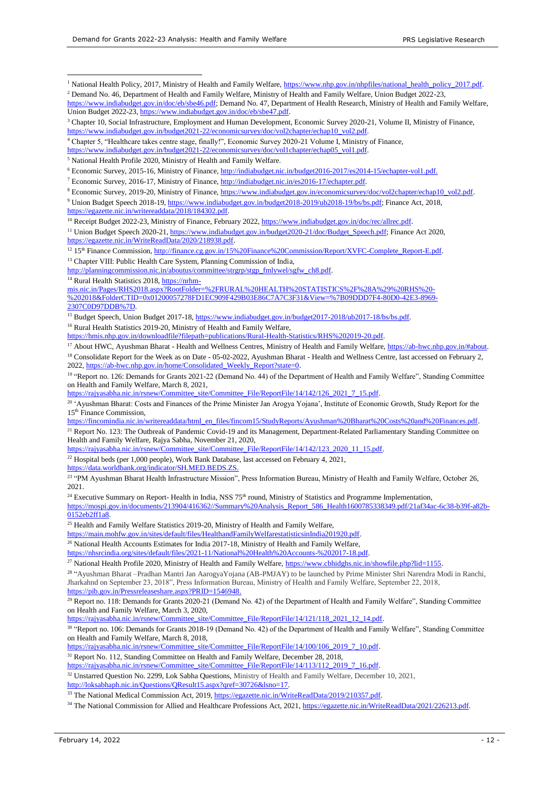Demand for Grants 2022-23 Analysis: Health and Family Welfare PRS Legislative Research

<sup>1</sup> National Health Policy, 2017, Ministry of Health and Family Welfare, https://www.nhp.gov.in/nhpfiles/national\_health\_policy\_2017.pdf.

<sup>4</sup> Chapter 5, "Healthcare takes centre stage, finally!", Economic Survey 2020-21 Volume I, Ministry of Finance,

<sup>5</sup> National Health Profile 2020, Ministry of Health and Family Welfare.

<sup>7</sup> Economic Survey, 2016-17, Ministry of Finance, [http://indiabudget.nic.in/es2016-17/echapter.pdf.](http://indiabudget.nic.in/es2016-17/echapter.pdf)

<sup>9</sup> Union Budget Speech 2018-19[, https://www.indiabudget.gov.in/budget2018-2019/ub2018-19/bs/bs.pdf;](https://www.indiabudget.gov.in/budget2018-2019/ub2018-19/bs/bs.pdf) Finance Act, 2018, [https://egazette.nic.in/writereaddata/2018/184302.pdf.](https://egazette.nic.in/writereaddata/2018/184302.pdf) 

<sup>10</sup> Receipt Budget 2022-23, Ministry of Finance, February 2022[, https://www.indiabudget.gov.in/doc/rec/allrec.pdf.](https://www.indiabudget.gov.in/doc/rec/allrec.pdf) 

<sup>12</sup> 15<sup>th</sup> Finance Commission[, http://finance.cg.gov.in/15%20Finance%20Commission/Report/XVFC-Complete\\_Report-E.pdf.](http://finance.cg.gov.in/15%20Finance%20Commission/Report/XVFC-Complete_Report-E.pdf)

<sup>13</sup> Chapter VIII: Public Health Care System, Planning Commission of India,

[http://planningcommission.nic.in/aboutus/committee/strgrp/stgp\\_fmlywel/sgfw\\_ch8.pdf.](http://planningcommission.nic.in/aboutus/committee/strgrp/stgp_fmlywel/sgfw_ch8.pdf)

<sup>14</sup> Rural Health Statistics 2018[, https://nrhm-](https://nrhm-mis.nic.in/Pages/RHS2018.aspx?RootFolder=%2FRURAL%20HEALTH%20STATISTICS%2F%28A%29%20RHS%20-%202018&FolderCTID=0x01200057278FD1EC909F429B03E86C7A7C3F31&View=%7B09DDD7F4-80D0-42E3-8969-2307C0D97DDB%7D)

1

[mis.nic.in/Pages/RHS2018.aspx?RootFolder=%2FRURAL%20HEALTH%20STATISTICS%2F%28A%29%20RHS%20-](https://nrhm-mis.nic.in/Pages/RHS2018.aspx?RootFolder=%2FRURAL%20HEALTH%20STATISTICS%2F%28A%29%20RHS%20-%202018&FolderCTID=0x01200057278FD1EC909F429B03E86C7A7C3F31&View=%7B09DDD7F4-80D0-42E3-8969-2307C0D97DDB%7D)

[%202018&FolderCTID=0x01200057278FD1EC909F429B03E86C7A7C3F31&View=%7B09DDD7F4-80D0-42E3-8969-](https://nrhm-mis.nic.in/Pages/RHS2018.aspx?RootFolder=%2FRURAL%20HEALTH%20STATISTICS%2F%28A%29%20RHS%20-%202018&FolderCTID=0x01200057278FD1EC909F429B03E86C7A7C3F31&View=%7B09DDD7F4-80D0-42E3-8969-2307C0D97DDB%7D) [2307C0D97DDB%7D.](https://nrhm-mis.nic.in/Pages/RHS2018.aspx?RootFolder=%2FRURAL%20HEALTH%20STATISTICS%2F%28A%29%20RHS%20-%202018&FolderCTID=0x01200057278FD1EC909F429B03E86C7A7C3F31&View=%7B09DDD7F4-80D0-42E3-8969-2307C0D97DDB%7D) 

<sup>15</sup> Budget Speech, Union Budget 2017-18, https://www.indiabudget.gov.in/budget2017-2018/ub2017-18/bs/bs.pdf.

<sup>16</sup> Rural Health Statistics 2019-20, Ministry of Health and Family Welfare,

[https://hmis.nhp.gov.in/downloadfile?filepath=publications/Rural-Health-Statistics/RHS%202019-20.pdf.](https://hmis.nhp.gov.in/downloadfile?filepath=publications/Rural-Health-Statistics/RHS%202019-20.pdf) 

<sup>17</sup> About HWC, Ayushman Bharat - Health and Wellness Centres, Ministry of Health and Family Welfare, https://ab-hwc.nhp.gov.in/#about.

<sup>18</sup> Consolidate Report for the Week as on Date - 05-02-2022, Ayushman Bharat - Health and Wellness Centre, last accessed on February 2, 2022[, https://ab-hwc.nhp.gov.in/home/Consolidated\\_Weekly\\_Report?state=0.](https://ab-hwc.nhp.gov.in/home/Consolidated_Weekly_Report?state=0)

<sup>19</sup> "Report no. 126: Demands for Grants 2021-22 (Demand No. 44) of the Department of Health and Family Welfare", Standing Committee on Health and Family Welfare, March 8, 2021,

https://rajyasabha.nic.in/rsnew/Committee\_site/Committee\_File/ReportFile/14/142/126\_2021\_7\_15.pdf.

<sup>20</sup> 'Ayushman Bharat: Costs and Finances of the Prime Minister Jan Arogya Yojana', Institute of Economic Growth, Study Report for the 15th Finance Commission,

[https://fincomindia.nic.in/writereaddata/html\\_en\\_files/fincom15/StudyReports/Ayushman%20Bharat%20Costs%20and%20Finances.pdf.](https://fincomindia.nic.in/writereaddata/html_en_files/fincom15/StudyReports/Ayushman%20Bharat%20Costs%20and%20Finances.pdf)

<sup>21</sup> Report No. 123: The Outbreak of Pandemic Covid-19 and its Management, Department-Related Parliamentary Standing Committee on Health and Family Welfare, Rajya Sabha, November 21, 2020,

[https://rajyasabha.nic.in/rsnew/Committee\\_site/Committee\\_File/ReportFile/14/142/123\\_2020\\_11\\_15.pdf.](https://rajyasabha.nic.in/rsnew/Committee_site/Committee_File/ReportFile/14/142/123_2020_11_15.pdf) 

<sup>22</sup> Hospital beds (per 1,000 people), Work Bank Database, last accessed on February 4, 2021, [https://data.worldbank.org/indicator/SH.MED.BEDS.ZS.](https://data.worldbank.org/indicator/SH.MED.BEDS.ZS)

<sup>23 "</sup>PM Ayushman Bharat Health Infrastructure Mission", Press Information Bureau, Ministry of Health and Family Welfare, October 26, 2021.

 $24$  Executive Summary on Report-Health in India, NSS 75<sup>th</sup> round, Ministry of Statistics and Programme Implementation,

[https://mospi.gov.in/documents/213904/416362//Summary%20Analysis\\_Report\\_586\\_Health1600785338349.pdf/21af34ac-6c38-b39f-a82b-](https://mospi.gov.in/documents/213904/416362/Summary%20Analysis_Report_586_Health1600785338349.pdf/21af34ac-6c38-b39f-a82b-0152eb2ff1a8)0152eb2ff1a8.

<sup>25</sup> Health and Family Welfare Statistics 2019-20, Ministry of Health and Family Welfare,

[https://main.mohfw.gov.in/sites/default/files/HealthandFamilyWelfarestatisticsinIndia201920.pdf.](https://main.mohfw.gov.in/sites/default/files/HealthandFamilyWelfarestatisticsinIndia201920.pdf) 

<sup>26</sup> National Health Accounts Estimates for India 2017-18, Ministry of Health and Family Welfare,

[https://nhsrcindia.org/sites/default/files/2021-11/National%20Health%20Accounts-%202017-18.pdf.](https://nhsrcindia.org/sites/default/files/2021-11/National%20Health%20Accounts-%202017-18.pdf) 

<sup>27</sup> National Health Profile 2020, Ministry of Health and Family Welfare, [https://www.cbhidghs.nic.in/showfile.php?lid=1155.](https://www.cbhidghs.nic.in/showfile.php?lid=1155)

28 "Ayushman Bharat –Pradhan Mantri Jan AarogyaYojana (AB-PMJAY) to be launched by Prime Minister Shri Narendra Modi in Ranchi, Jharkahnd on September 23, 2018", Press Information Bureau, Ministry of Health and Family Welfare, September 22, 2018, [https://pib.gov.in/Pressreleaseshare.aspx?PRID=1546948.](https://pib.gov.in/Pressreleaseshare.aspx?PRID=1546948)

<sup>29</sup> Report no. 118: Demands for Grants 2020-21 (Demand No. 42) of the Department of Health and Family Welfare", Standing Committee on Health and Family Welfare, March 3, 2020,

https://rajyasabha.nic.in/rsnew/Committee\_site/Committee\_File/ReportFile/14/121/118\_2021\_12\_14.pdf.

30 "Report no. 106: Demands for Grants 2018-19 (Demand No. 42) of the Department of Health and Family Welfare", Standing Committee on Health and Family Welfare, March 8, 2018,

[https://rajyasabha.nic.in/rsnew/Committee\\_site/Committee\\_File/ReportFile/14/100/106\\_2019\\_7\\_10.pdf.](https://rajyasabha.nic.in/rsnew/Committee_site/Committee_File/ReportFile/14/100/106_2019_7_10.pdf)

<sup>31</sup> Report No. 112, Standing Committee on Health and Family Welfare, December 28, 2018,

[https://rajyasabha.nic.in/rsnew/Committee\\_site/Committee\\_File/ReportFile/14/113/112\\_2019\\_7\\_16.pdf.](https://rajyasabha.nic.in/rsnew/Committee_site/Committee_File/ReportFile/14/113/112_2019_7_16.pdf) 

<sup>32</sup> Unstarred Question No. 2299, Lok Sabha Questions, Ministry of Health and Family Welfare, December 10, 2021, [http://loksabhaph.nic.in/Questions/QResult15.aspx?qref=30726&lsno=17.](http://loksabhaph.nic.in/Questions/QResult15.aspx?qref=30726&lsno=17)

<sup>33</sup> The National Medical Commission Act, 2019, https://egazette.nic.in/WriteReadData/2019/210357.pdf.

<sup>34</sup> The National Commission for Allied and Healthcare Professions Act, 2021[, https://egazette.nic.in/WriteReadData/2021/226213.pdf.](https://egazette.nic.in/WriteReadData/2021/226213.pdf)

<sup>&</sup>lt;sup>2</sup> Demand No. 46, Department of Health and Family Welfare, Ministry of Health and Family Welfare, Union Budget 2022-23, [https://www.indiabudget.gov.in/doc/eb/sbe46.pdf;](https://www.indiabudget.gov.in/doc/eb/sbe46.pdf) Demand No. 47, Department of Health Research, Ministry of Health and Family Welfare, Union Budget 2022-23, [https://www.indiabudget.gov.in/doc/eb/sbe47.pdf.](https://www.indiabudget.gov.in/doc/eb/sbe47.pdf) 

<sup>&</sup>lt;sup>3</sup> Chapter 10, Social Infrastructure, Employment and Human Development, Economic Survey 2020-21, Volume II, Ministry of Finance, [https://www.indiabudget.gov.in/budget2021-22/economicsurvey/doc/vol2chapter/echap10\\_vol2.pdf.](https://www.indiabudget.gov.in/budget2021-22/economicsurvey/doc/vol2chapter/echap10_vol2.pdf) 

[https://www.indiabudget.gov.in/budget2021-22/economicsurvey/doc/vol1chapter/echap05\\_vol1.pdf.](https://www.indiabudget.gov.in/budget2021-22/economicsurvey/doc/vol1chapter/echap05_vol1.pdf) 

<sup>6</sup> Economic Survey, 2015-16, Ministry of Finance, [http://indiabudget.nic.in/budget2016-2017/es2014-15/echapter-vol1.pdf.](http://indiabudget.nic.in/budget2016-2017/es2014-15/echapter-vol1.pdf)

<sup>&</sup>lt;sup>8</sup> Economic Survey, 2019-20, Ministry of Finance, [https://www.indiabudget.gov.in/economicsurvey/doc/vol2chapter/echap10\\_vol2.pdf.](https://www.indiabudget.gov.in/economicsurvey/doc/vol2chapter/echap10_vol2.pdf)

<sup>&</sup>lt;sup>11</sup> Union Budget Speech 2020-21, [https://www.indiabudget.gov.in/budget2020-21/doc/Budget\\_Speech.pdf;](https://www.indiabudget.gov.in/budget2020-21/doc/Budget_Speech.pdf) Finance Act 2020, [https://egazette.nic.in/WriteReadData/2020/218938.pdf.](https://egazette.nic.in/WriteReadData/2020/218938.pdf)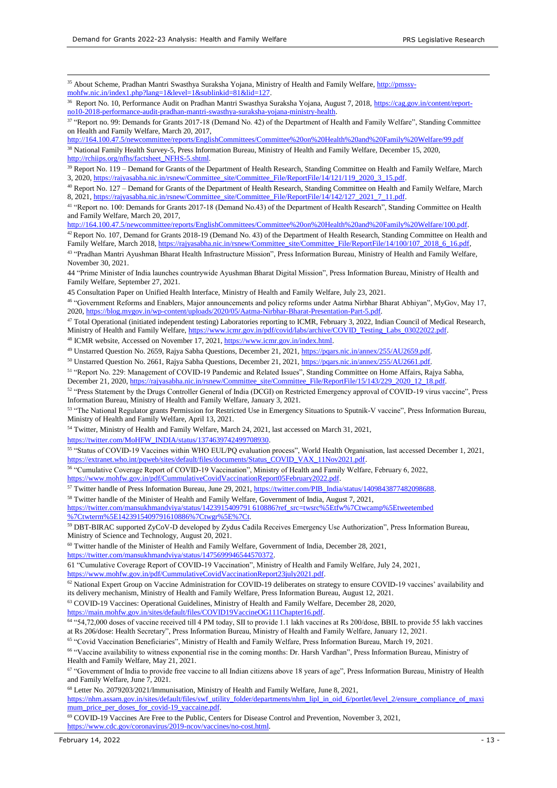1

<sup>35</sup> About Scheme, Pradhan Mantri Swasthya Suraksha Yojana, Ministry of Health and Family Welfare, [http://pmssy](http://pmssy-mohfw.nic.in/index1.php?lang=1&level=1&sublinkid=81&lid=127)[mohfw.nic.in/index1.php?lang=1&level=1&sublinkid=81&lid=127.](http://pmssy-mohfw.nic.in/index1.php?lang=1&level=1&sublinkid=81&lid=127) 

<sup>36</sup> Report No. 10, Performance Audit on Pradhan Mantri Swasthya Suraksha Yojana, August 7, 2018, [https://cag.gov.in/content/report](https://cag.gov.in/content/report-no10-2018-performance-audit-pradhan-mantri-swasthya-suraksha-yojana-ministry-health)[no10-2018-performance-audit-pradhan-mantri-swasthya-suraksha-yojana-ministry-health.](https://cag.gov.in/content/report-no10-2018-performance-audit-pradhan-mantri-swasthya-suraksha-yojana-ministry-health)

37 "Report no. 99: Demands for Grants 2017-18 (Demand No. 42) of the Department of Health and Family Welfare", Standing Committee on Health and Family Welfare, March 20, 2017,

<http://164.100.47.5/newcommittee/reports/EnglishCommittees/Committee%20on%20Health%20and%20Family%20Welfare/99.pdf>

<sup>38</sup> National Family Health Survey-5, Press Information Bureau, Ministry of Health and Family Welfare, December 15, 2020, [http://rchiips.org/nfhs/factsheet\\_NFHS-5.shtml.](http://rchiips.org/nfhs/factsheet_NFHS-5.shtml)

<sup>39</sup> Report No. 119 – Demand for Grants of the Department of Health Research, Standing Committee on Health and Family Welfare, March 3, 2020, https://rajyasabha.nic.in/rsnew/Committee\_site/Committee\_File/ReportFile/14/121/119\_2020\_3\_15.pd

<sup>40</sup> Report No. 127 – Demand for Grants of the Department of Health Research, Standing Committee on Health and Family Welfare, March 8, 2021, https://rajyasabha.nic.in/rsnew/Committee\_site/Committee\_File/ReportFile/14/142/127\_2021\_7\_11.pdf.

<sup>41</sup> "Report no. 100: Demands for Grants 2017-18 (Demand No.43) of the Department of Health Research", Standing Committee on Health and Family Welfare, March 20, 2017,

[http://164.100.47.5/newcommittee/reports/EnglishCommittees/Committee%20on%20Health%20and%20Family%20Welfare/100.pdf.](http://164.100.47.5/newcommittee/reports/EnglishCommittees/Committee%20on%20Health%20and%20Family%20Welfare/100.pdf)

<sup>42</sup> Report No. 107, Demand for Grants 2018-19 (Demand No. 43) of the Department of Health Research, Standing Committee on Health and Family Welfare, March 2018[, https://rajyasabha.nic.in/rsnew/Committee\\_site/Committee\\_File/ReportFile/14/100/107\\_2018\\_6\\_16.pdf,](https://rajyasabha.nic.in/rsnew/Committee_site/Committee_File/ReportFile/14/100/107_2018_6_16.pdf)

43 "Pradhan Mantri Ayushman Bharat Health Infrastructure Mission", Press Information Bureau, Ministry of Health and Family Welfare, November 30, 2021.

44 "Prime Minister of India launches countrywide Ayushman Bharat Digital Mission", Press Information Bureau, Ministry of Health and Family Welfare, September 27, 2021.

45 Consultation Paper on Unified Health Interface, Ministry of Health and Family Welfare, July 23, 2021.

<sup>46</sup> "Government Reforms and Enablers, Major announcements and policy reforms under Aatma Nirbhar Bharat Abhiyan", MyGov, May 17, 2020[, https://blog.mygov.in/wp-content/uploads/2020/05/Aatma-Nirbhar-Bharat-Presentation-Part-5.pdf.](https://blog.mygov.in/wp-content/uploads/2020/05/Aatma-Nirbhar-Bharat-Presentation-Part-5.pdf)

<sup>47</sup> Total Operational (initiated independent testing) Laboratories reporting to ICMR, February 3, 2022, Indian Council of Medical Research, Ministry of Health and Family Welfare[, https://www.icmr.gov.in/pdf/covid/labs/archive/COVID\\_Testing\\_Labs\\_03022022.pdf.](https://www.icmr.gov.in/pdf/covid/labs/archive/COVID_Testing_Labs_03022022.pdf) 

<sup>48</sup> ICMR website, Accessed on November 17, 2021, [https://www.icmr.gov.in/index.html.](https://www.icmr.gov.in/index.html)

49 Unstarred Question No. 2659, Rajya Sabha Questions, December 21, 2021[, https://pqars.nic.in/annex/255/AU2659.pdf.](https://pqars.nic.in/annex/255/AU2659.pdf)

<sup>50</sup> Unstarred Question No. 2661, Rajya Sabha Questions, December 21, 2021[, https://pqars.nic.in/annex/255/AU2661.pdf.](https://pqars.nic.in/annex/255/AU2661.pdf)

<sup>51</sup> "Report No. 229: Management of COVID-19 Pandemic and Related Issues", Standing Committee on Home Affairs, Rajya Sabha, December 21, 2020, https://rajyasabha.nic.in/rsnew/Committee\_site/Committee\_File/ReportFile/15/143/229\_2020\_12\_18.pdf.

<sup>52</sup> "Press Statement by the Drugs Controller General of India (DCGI) on Restricted Emergency approval of COVID-19 virus vaccine", Press Information Bureau, Ministry of Health and Family Welfare, January 3, 2021.

<sup>53</sup> "The National Regulator grants Permission for Restricted Use in Emergency Situations to Sputnik-V vaccine", Press Information Bureau, Ministry of Health and Family Welfare, April 13, 2021.

<sup>54</sup> Twitter, Ministry of Health and Family Welfare, March 24, 2021, last accessed on March 31, 2021,

[https://twitter.com/MoHFW\\_INDIA/status/1374639742499708930.](https://twitter.com/MoHFW_INDIA/status/1374639742499708930) 

<sup>55</sup> "Status of COVID-19 Vaccines within WHO EUL/PQ evaluation process", World Health Organisation, last accessed December 1, 2021, [https://extranet.who.int/pqweb/sites/default/files/documents/Status\\_COVID\\_VAX\\_11Nov2021.pdf.](https://extranet.who.int/pqweb/sites/default/files/documents/Status_COVID_VAX_11Nov2021.pdf) 

<sup>56</sup> "Cumulative Coverage Report of COVID-19 Vaccination", Ministry of Health and Family Welfare, February 6, 2022, [https://www.mohfw.gov.in/pdf/CummulativeCovidVaccinationReport05February2022.pdf.](https://www.mohfw.gov.in/pdf/CummulativeCovidVaccinationReport05February2022.pdf) 

<sup>57</sup> Twitter handle of Press Information Bureau, June 29, 2021[, https://twitter.com/PIB\\_India/status/1409843877482098688.](https://twitter.com/PIB_India/status/1409843877482098688)

<sup>58</sup> Twitter handle of the Minister of Health and Family Welfare, Government of India, August 7, 2021,

[https://twitter.com/mansukhmandviya/status/1423915409791 610886?ref\\_src=twsrc%5Etfw%7Ctwcamp%5Etweetembed](https://twitter.com/mansukhmandviya/status/1423915409791%20610886?ref_src=twsrc%5Etfw%7Ctwcamp%5Etweetembed%20%7Ctwterm%5E1423915409791610886%7Ctwgr%5E%7Ct)  [%7Ctwterm%5E1423915409791610886%7Ctwgr%5E%7Ct.](https://twitter.com/mansukhmandviya/status/1423915409791%20610886?ref_src=twsrc%5Etfw%7Ctwcamp%5Etweetembed%20%7Ctwterm%5E1423915409791610886%7Ctwgr%5E%7Ct)

<sup>59</sup> DBT-BIRAC supported ZyCoV-D developed by Zydus Cadila Receives Emergency Use Authorization", Press Information Bureau, Ministry of Science and Technology, August 20, 2021.

<sup>60</sup> Twitter handle of the Minister of Health and Family Welfare, Government of India, December 28, 2021, [https://twitter.com/mansukhmandviya/status/1475699946544570372.](https://twitter.com/mansukhmandviya/status/1475699946544570372)

61 "Cumulative Coverage Report of COVID-19 Vaccination", Ministry of Health and Family Welfare, July 24, 2021,

[https://www.mohfw.gov.in/pdf/CummulativeCovidVaccinationReport23july2021.pdf.](https://www.mohfw.gov.in/pdf/CummulativeCovidVaccinationReport23july2021.pdf)

<sup>62</sup> National Expert Group on Vaccine Administration for COVID-19 deliberates on strategy to ensure COVID-19 vaccines' availability and its delivery mechanism, Ministry of Health and Family Welfare, Press Information Bureau, August 12, 2021.

<sup>63</sup> COVID-19 Vaccines: Operational Guidelines, Ministry of Health and Family Welfare, December 28, 2020,

[https://main.mohfw.gov.in/sites/default/files/COVID19VaccineOG111Chapter16.pdf.](https://main.mohfw.gov.in/sites/default/files/COVID19VaccineOG111Chapter16.pdf)

<sup>64</sup> "54,72,000 doses of vaccine received till 4 PM today, SII to provide 1.1 lakh vaccines at Rs 200/dose, BBIL to provide 55 lakh vaccines at Rs 206/dose: Health Secretary", Press Information Bureau, Ministry of Health and Family Welfare, January 12, 2021.

<sup>65</sup> "Covid Vaccination Beneficiaries", Ministry of Health and Family Welfare, Press Information Bureau, March 19, 2021.

<sup>66</sup> "Vaccine availability to witness exponential rise in the coming months: Dr. Harsh Vardhan", Press Information Bureau, Ministry of Health and Family Welfare, May 21, 2021.

<sup>67</sup> "Government of India to provide free vaccine to all Indian citizens above 18 years of age", Press Information Bureau, Ministry of Health and Family Welfare, June 7, 2021.

<sup>68</sup> Letter No. 2079203/2021/Immunisation, Ministry of Health and Family Welfare, June 8, 2021,

[https://nhm.assam.gov.in/sites/default/files/swf\\_utility\\_folder/departments/nhm\\_lipl\\_in\\_oid\\_6/portlet/level\\_2/ensure\\_compliance\\_of\\_maxi](https://nhm.assam.gov.in/sites/default/files/swf_utility_folder/departments/nhm_lipl_in_oid_6/portlet/level_2/ensure_compliance_of_maximum_price_per_doses_for_covid-19_vaccaine.pdf) mum\_price\_per\_doses\_for\_covid-19\_vaccaine.pdf.

<sup>69</sup> COVID-19 Vaccines Are Free to the Public, Centers for Disease Control and Prevention, November 3, 2021, [https://www.cdc.gov/coronavirus/2019-ncov/vaccines/no-cost.html.](https://www.cdc.gov/coronavirus/2019-ncov/vaccines/no-cost.html)